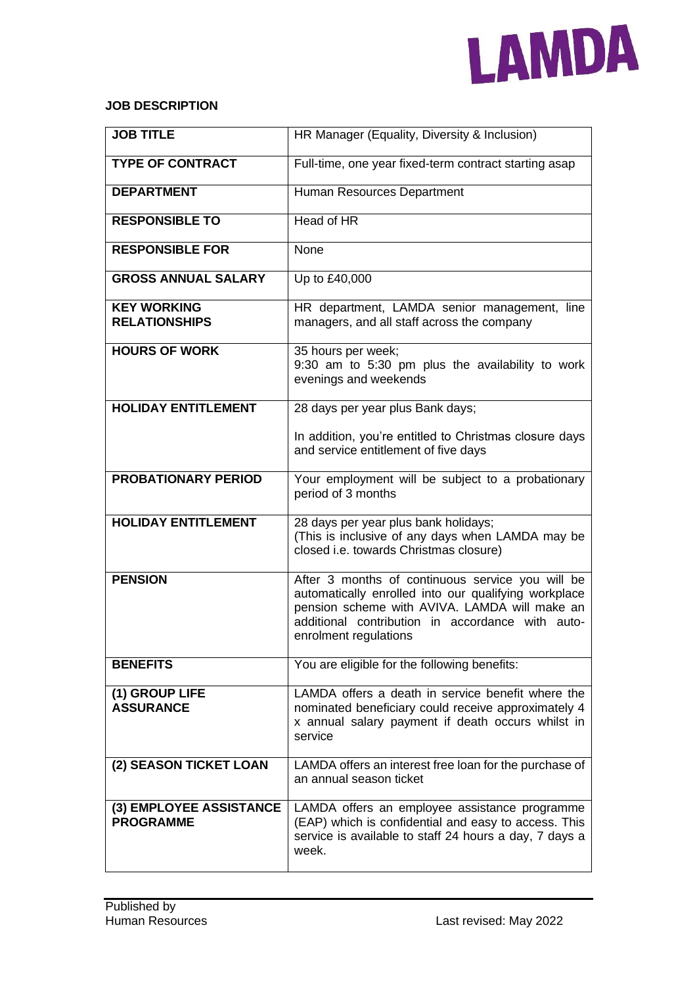

### **JOB DESCRIPTION**

| <b>JOB TITLE</b>                            | HR Manager (Equality, Diversity & Inclusion)                                                                                                                                                                                           |
|---------------------------------------------|----------------------------------------------------------------------------------------------------------------------------------------------------------------------------------------------------------------------------------------|
| <b>TYPE OF CONTRACT</b>                     | Full-time, one year fixed-term contract starting asap                                                                                                                                                                                  |
| <b>DEPARTMENT</b>                           | Human Resources Department                                                                                                                                                                                                             |
| <b>RESPONSIBLE TO</b>                       | Head of HR                                                                                                                                                                                                                             |
| <b>RESPONSIBLE FOR</b>                      | None                                                                                                                                                                                                                                   |
| <b>GROSS ANNUAL SALARY</b>                  | Up to £40,000                                                                                                                                                                                                                          |
| <b>KEY WORKING</b><br><b>RELATIONSHIPS</b>  | HR department, LAMDA senior management, line<br>managers, and all staff across the company                                                                                                                                             |
| <b>HOURS OF WORK</b>                        | 35 hours per week;<br>9:30 am to 5:30 pm plus the availability to work<br>evenings and weekends                                                                                                                                        |
| <b>HOLIDAY ENTITLEMENT</b>                  | 28 days per year plus Bank days;                                                                                                                                                                                                       |
|                                             | In addition, you're entitled to Christmas closure days<br>and service entitlement of five days                                                                                                                                         |
| <b>PROBATIONARY PERIOD</b>                  | Your employment will be subject to a probationary<br>period of 3 months                                                                                                                                                                |
| <b>HOLIDAY ENTITLEMENT</b>                  | 28 days per year plus bank holidays;<br>(This is inclusive of any days when LAMDA may be<br>closed i.e. towards Christmas closure)                                                                                                     |
| <b>PENSION</b>                              | After 3 months of continuous service you will be<br>automatically enrolled into our qualifying workplace<br>pension scheme with AVIVA. LAMDA will make an<br>additional contribution in accordance with auto-<br>enrolment regulations |
| <b>BENEFITS</b>                             | You are eligible for the following benefits:                                                                                                                                                                                           |
| (1) GROUP LIFE<br><b>ASSURANCE</b>          | LAMDA offers a death in service benefit where the<br>nominated beneficiary could receive approximately 4<br>x annual salary payment if death occurs whilst in<br>service                                                               |
| (2) SEASON TICKET LOAN                      | LAMDA offers an interest free loan for the purchase of<br>an annual season ticket                                                                                                                                                      |
| (3) EMPLOYEE ASSISTANCE<br><b>PROGRAMME</b> | LAMDA offers an employee assistance programme<br>(EAP) which is confidential and easy to access. This<br>service is available to staff 24 hours a day, 7 days a<br>week.                                                               |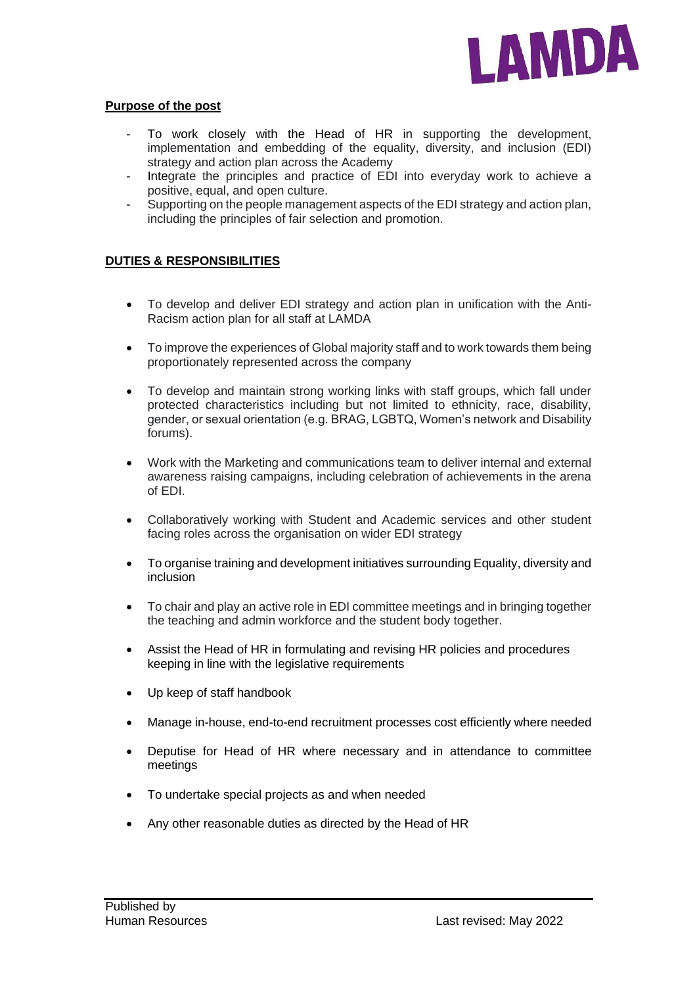

### **Purpose of the post**

- To work closely with the Head of HR in supporting the development, implementation and embedding of the equality, diversity, and inclusion (EDI) strategy and action plan across the Academy
- Integrate the principles and practice of EDI into everyday work to achieve a positive, equal, and open culture.
- Supporting on the people management aspects of the EDI strategy and action plan, including the principles of fair selection and promotion.

## **DUTIES & RESPONSIBILITIES**

- To develop and deliver EDI strategy and action plan in unification with the Anti-Racism action plan for all staff at LAMDA
- To improve the experiences of Global majority staff and to work towards them being proportionately represented across the company
- To develop and maintain strong working links with staff groups, which fall under protected characteristics including but not limited to ethnicity, race, disability, gender, or sexual orientation (e.g. BRAG, LGBTQ, Women's network and Disability forums).
- Work with the Marketing and communications team to deliver internal and external awareness raising campaigns, including celebration of achievements in the arena of EDI.
- Collaboratively working with Student and Academic services and other student facing roles across the organisation on wider EDI strategy
- To organise training and development initiatives surrounding Equality, diversity and inclusion
- To chair and play an active role in EDI committee meetings and in bringing together the teaching and admin workforce and the student body together.
- Assist the Head of HR in formulating and revising HR policies and procedures keeping in line with the legislative requirements
- Up keep of staff handbook
- Manage in-house, end-to-end recruitment processes cost efficiently where needed
- Deputise for Head of HR where necessary and in attendance to committee meetings
- To undertake special projects as and when needed
- Any other reasonable duties as directed by the Head of HR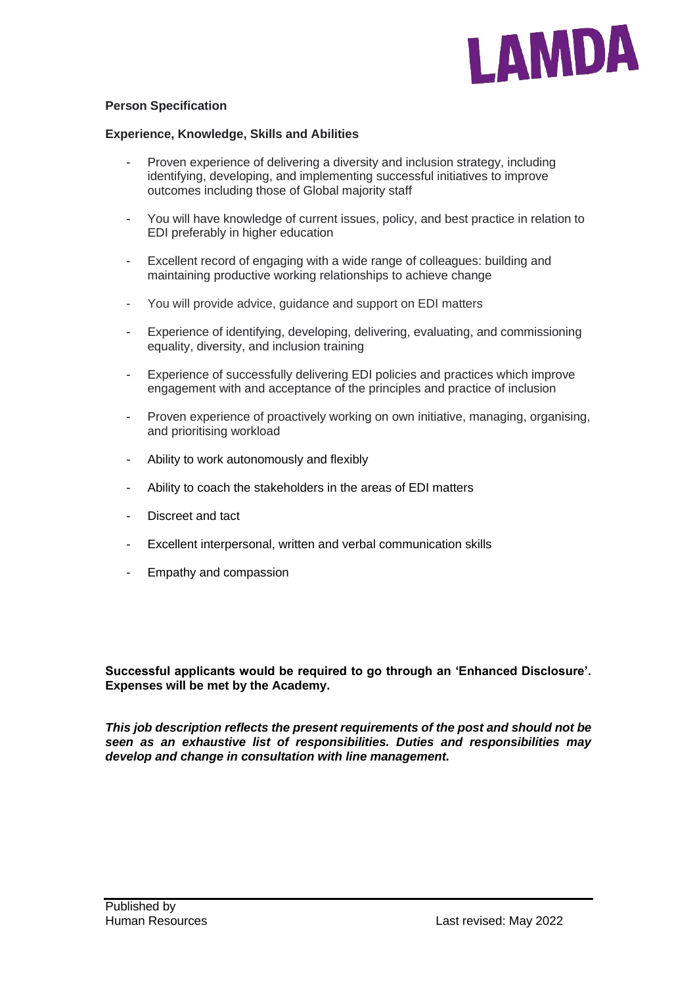

## **Person Specification**

#### **Experience, Knowledge, Skills and Abilities**

- Proven experience of delivering a diversity and inclusion strategy, including identifying, developing, and implementing successful initiatives to improve outcomes including those of Global majority staff
- You will have knowledge of current issues, policy, and best practice in relation to EDI preferably in higher education
- Excellent record of engaging with a wide range of colleagues: building and maintaining productive working relationships to achieve change
- You will provide advice, guidance and support on EDI matters
- Experience of identifying, developing, delivering, evaluating, and commissioning equality, diversity, and inclusion training
- Experience of successfully delivering EDI policies and practices which improve engagement with and acceptance of the principles and practice of inclusion
- Proven experience of proactively working on own initiative, managing, organising, and prioritising workload
- Ability to work autonomously and flexibly
- Ability to coach the stakeholders in the areas of EDI matters
- Discreet and tact
- Excellent interpersonal, written and verbal communication skills
- Empathy and compassion

**Successful applicants would be required to go through an 'Enhanced Disclosure'. Expenses will be met by the Academy.**

*This job description reflects the present requirements of the post and should not be seen as an exhaustive list of responsibilities. Duties and responsibilities may develop and change in consultation with line management.*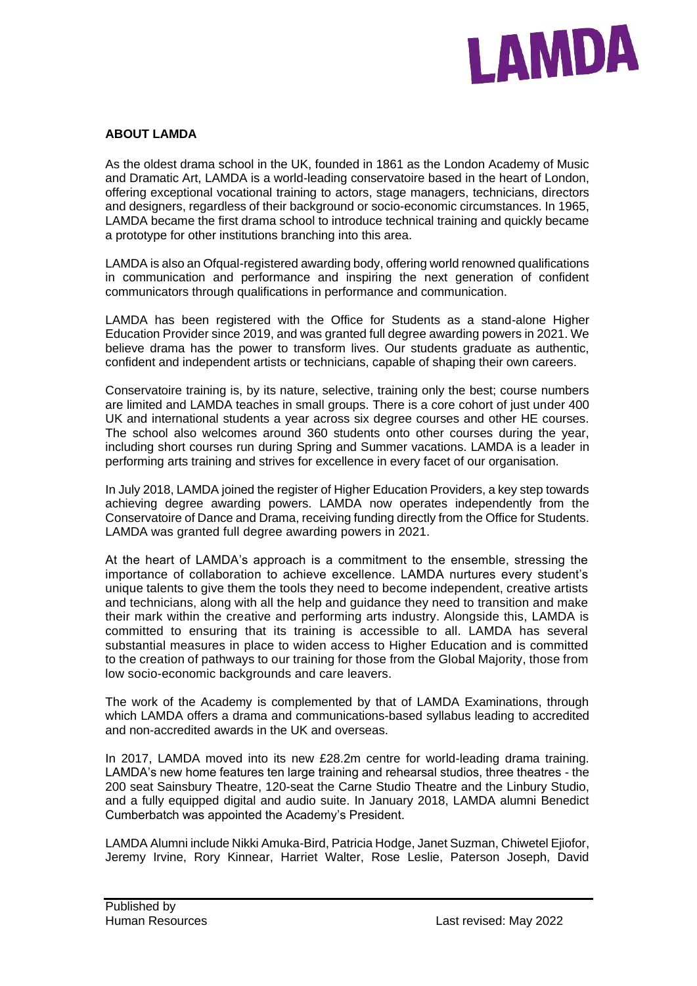

# **ABOUT LAMDA**

As the oldest drama school in the UK, founded in 1861 as the London Academy of Music and Dramatic Art, LAMDA is a world-leading conservatoire based in the heart of London, offering exceptional vocational training to actors, stage managers, technicians, directors and designers, regardless of their background or socio-economic circumstances. In 1965, LAMDA became the first drama school to introduce technical training and quickly became a prototype for other institutions branching into this area.

LAMDA is also an Ofqual-registered awarding body, offering world renowned qualifications in communication and performance and inspiring the next generation of confident communicators through qualifications in performance and communication.

LAMDA has been registered with the Office for Students as a stand-alone Higher Education Provider since 2019, and was granted full degree awarding powers in 2021. We believe drama has the power to transform lives. Our students graduate as authentic, confident and independent artists or technicians, capable of shaping their own careers.

Conservatoire training is, by its nature, selective, training only the best; course numbers are limited and LAMDA teaches in small groups. There is a core cohort of just under 400 UK and international students a year across six degree courses and other HE courses. The school also welcomes around 360 students onto other courses during the year, including short courses run during Spring and Summer vacations. LAMDA is a leader in performing arts training and strives for excellence in every facet of our organisation.

In July 2018, LAMDA joined the register of Higher Education Providers, a key step towards achieving degree awarding powers. LAMDA now operates independently from the Conservatoire of Dance and Drama, receiving funding directly from the Office for Students. LAMDA was granted full degree awarding powers in 2021.

At the heart of LAMDA's approach is a commitment to the ensemble, stressing the importance of collaboration to achieve excellence. LAMDA nurtures every student's unique talents to give them the tools they need to become independent, creative artists and technicians, along with all the help and guidance they need to transition and make their mark within the creative and performing arts industry. Alongside this, LAMDA is committed to ensuring that its training is accessible to all. LAMDA has several substantial measures in place to widen access to Higher Education and is committed to the creation of pathways to our training for those from the Global Majority, those from low socio-economic backgrounds and care leavers.

The work of the Academy is complemented by that of LAMDA Examinations, through which LAMDA offers a drama and communications-based syllabus leading to accredited and non-accredited awards in the UK and overseas.

In 2017, LAMDA moved into its new £28.2m centre for world-leading drama training. LAMDA's new home features ten large training and rehearsal studios, three theatres - the 200 seat Sainsbury Theatre, 120-seat the Carne Studio Theatre and the Linbury Studio, and a fully equipped digital and audio suite. In January 2018, LAMDA alumni Benedict Cumberbatch was appointed the Academy's President.

LAMDA Alumni include Nikki Amuka-Bird, Patricia Hodge, Janet Suzman, Chiwetel Ejiofor, Jeremy Irvine, Rory Kinnear, Harriet Walter, Rose Leslie, Paterson Joseph, David